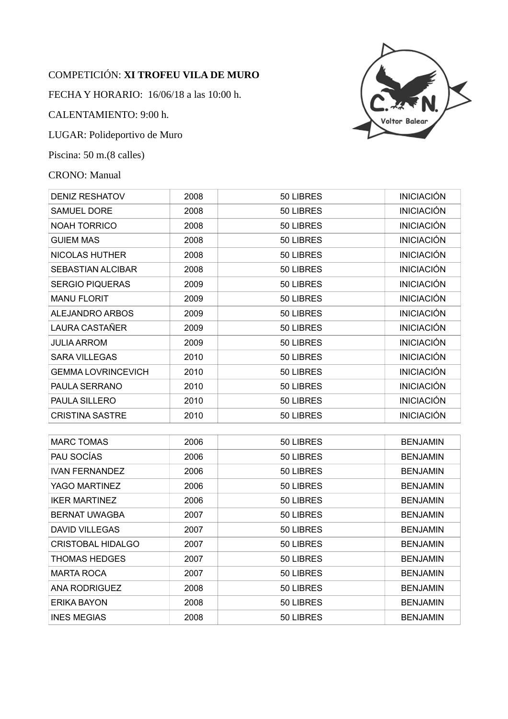## COMPETICIÓN: **XI TROFEU VILA DE MURO**

FECHA Y HORARIO: 16/06/18 a las 10:00 h.

CALENTAMIENTO: 9:00 h.

LUGAR: Polideportivo de Muro

Piscina: 50 m.(8 calles)

## CRONO: Manual



| <b>DENIZ RESHATOV</b>     | 2008 | 50 LIBRES | <b>INICIACIÓN</b> |
|---------------------------|------|-----------|-------------------|
| <b>SAMUEL DORE</b>        | 2008 | 50 LIBRES | <b>INICIACIÓN</b> |
| NOAH TORRICO              | 2008 | 50 LIBRES | <b>INICIACIÓN</b> |
| <b>GUIEM MAS</b>          | 2008 | 50 LIBRES | <b>INICIACIÓN</b> |
| NICOLAS HUTHER            | 2008 | 50 LIBRES | <b>INICIACIÓN</b> |
| <b>SEBASTIAN ALCIBAR</b>  | 2008 | 50 LIBRES | <b>INICIACIÓN</b> |
| <b>SERGIO PIQUERAS</b>    | 2009 | 50 LIBRES | <b>INICIACIÓN</b> |
| <b>MANU FLORIT</b>        | 2009 | 50 LIBRES | <b>INICIACIÓN</b> |
| ALEJANDRO ARBOS           | 2009 | 50 LIBRES | <b>INICIACIÓN</b> |
| <b>LAURA CASTAÑER</b>     | 2009 | 50 LIBRES | <b>INICIACIÓN</b> |
| <b>JULIA ARROM</b>        | 2009 | 50 LIBRES | <b>INICIACIÓN</b> |
| <b>SARA VILLEGAS</b>      | 2010 | 50 LIBRES | <b>INICIACIÓN</b> |
| <b>GEMMA LOVRINCEVICH</b> | 2010 | 50 LIBRES | <b>INICIACIÓN</b> |
| PAULA SERRANO             | 2010 | 50 LIBRES | <b>INICIACIÓN</b> |
| <b>PAULA SILLERO</b>      | 2010 | 50 LIBRES | <b>INICIACIÓN</b> |
| <b>CRISTINA SASTRE</b>    | 2010 | 50 LIBRES | <b>INICIACIÓN</b> |
|                           |      |           |                   |
| <b>MARC TOMAS</b>         | 2006 | 50 LIBRES | <b>BENJAMIN</b>   |
| PAU SOCÍAS                | 2006 | 50 LIBRES | <b>BENJAMIN</b>   |
| <b>IVAN FERNANDEZ</b>     | 2006 | 50 LIBRES | <b>BENJAMIN</b>   |
| YAGO MARTINEZ             | 2006 | 50 LIBRES | <b>BENJAMIN</b>   |
| <b>IKER MARTINEZ</b>      | 2006 | 50 LIBRES | <b>BENJAMIN</b>   |
| <b>BERNAT UWAGBA</b>      | 2007 | 50 LIBRES | <b>BENJAMIN</b>   |
| <b>DAVID VILLEGAS</b>     | 2007 | 50 LIBRES | <b>BENJAMIN</b>   |
| CRISTOBAL HIDALGO         | 2007 | 50 LIBRES | <b>BENJAMIN</b>   |
| THOMAS HEDGES             | 2007 | 50 LIBRES | <b>BENJAMIN</b>   |
| <b>MARTA ROCA</b>         | 2007 | 50 LIBRES | <b>BENJAMIN</b>   |
| <b>ANA RODRIGUEZ</b>      | 2008 | 50 LIBRES | <b>BENJAMIN</b>   |
| <b>ERIKA BAYON</b>        | 2008 | 50 LIBRES | <b>BENJAMIN</b>   |
| <b>INES MEGIAS</b>        | 2008 | 50 LIBRES | <b>BENJAMIN</b>   |